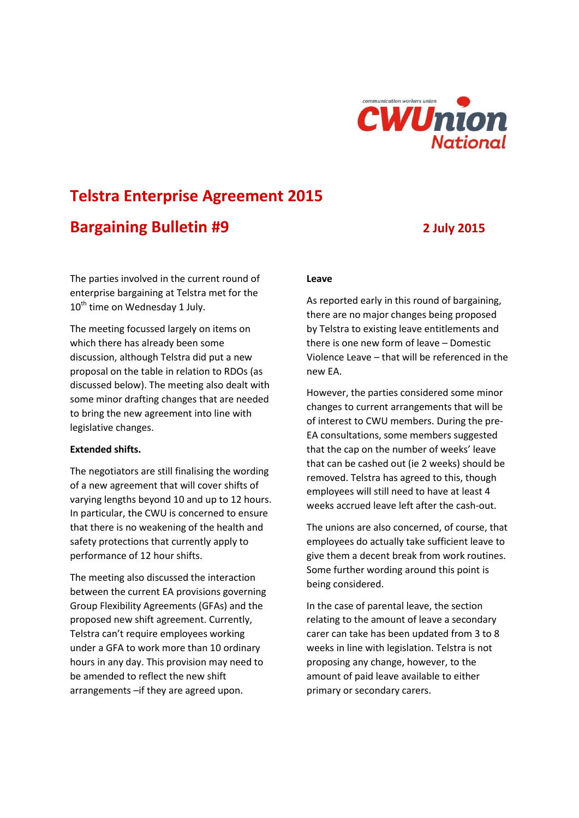

# **Telstra Enterprise Agreement 2015**

## **Bargaining Bulletin #9 2 July 2015**

The parties involved in the current round of enterprise bargaining at Telstra met for the  $10^{th}$  time on Wednesday 1 July.

The meeting focussed largely on items on which there has already been some discussion, although Telstra did put a new proposal on the table in relation to RDOs (as discussed below). The meeting also dealt with some minor drafting changes that are needed to bring the new agreement into line with legislative changes.

#### **Extended shifts.**

The negotiators are still finalising the wording of a new agreement that will cover shifts of varying lengths beyond 10 and up to 12 hours. In particular, the CWU is concerned to ensure that there is no weakening of the health and safety protections that currently apply to performance of 12 hour shifts.

The meeting also discussed the interaction between the current EA provisions governing Group Flexibility Agreements (GFAs) and the proposed new shift agreement. Currently, Telstra can't require employees working under a GFA to work more than 10 ordinary hours in any day. This provision may need to be amended to reflect the new shift arrangements –if they are agreed upon.

#### **Leave**

As reported early in this round of bargaining, there are no major changes being proposed by Telstra to existing leave entitlements and there is one new form of leave – Domestic Violence Leave – that will be referenced in the new EA.

However, the parties considered some minor changes to current arrangements that will be of interest to CWU members. During the pre-EA consultations, some members suggested that the cap on the number of weeks' leave that can be cashed out (ie 2 weeks) should be removed. Telstra has agreed to this, though employees will still need to have at least 4 weeks accrued leave left after the cash-out.

The unions are also concerned, of course, that employees do actually take sufficient leave to give them a decent break from work routines. Some further wording around this point is being considered.

In the case of parental leave, the section relating to the amount of leave a secondary carer can take has been updated from 3 to 8 weeks in line with legislation. Telstra is not proposing any change, however, to the amount of paid leave available to either primary or secondary carers.